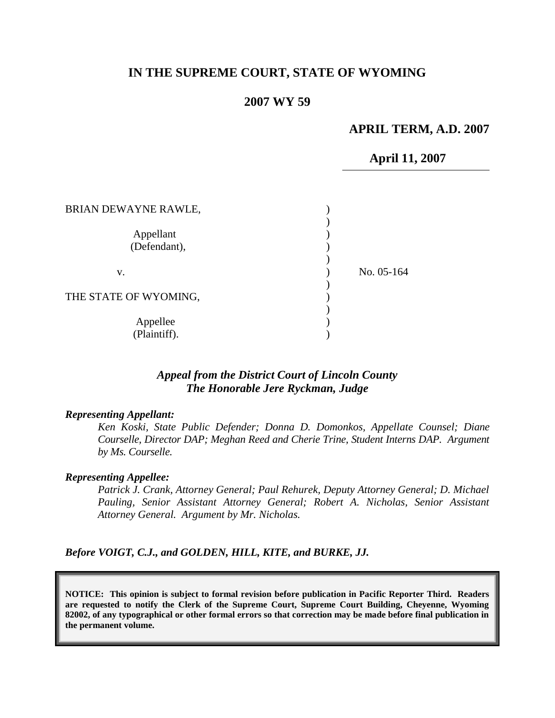### **IN THE SUPREME COURT, STATE OF WYOMING**

#### **2007 WY 59**

#### **APRIL TERM, A.D. 2007**

**April 11, 2007** 

| BRIAN DEWAYNE RAWLE,      |            |
|---------------------------|------------|
| Appellant<br>(Defendant), |            |
| V.                        | No. 05-164 |
| THE STATE OF WYOMING,     |            |
| Appellee<br>(Plaintiff).  |            |

## *Appeal from the District Court of Lincoln County The Honorable Jere Ryckman, Judge*

#### *Representing Appellant:*

*Ken Koski, State Public Defender; Donna D. Domonkos, Appellate Counsel; Diane Courselle, Director DAP; Meghan Reed and Cherie Trine, Student Interns DAP. Argument by Ms. Courselle.*

#### *Representing Appellee:*

*Patrick J. Crank, Attorney General; Paul Rehurek, Deputy Attorney General; D. Michael Pauling, Senior Assistant Attorney General; Robert A. Nicholas, Senior Assistant Attorney General. Argument by Mr. Nicholas.*

*Before VOIGT, C.J., and GOLDEN, HILL, KITE, and BURKE, JJ.*

**NOTICE: This opinion is subject to formal revision before publication in Pacific Reporter Third. Readers are requested to notify the Clerk of the Supreme Court, Supreme Court Building, Cheyenne, Wyoming 82002, of any typographical or other formal errors so that correction may be made before final publication in the permanent volume.**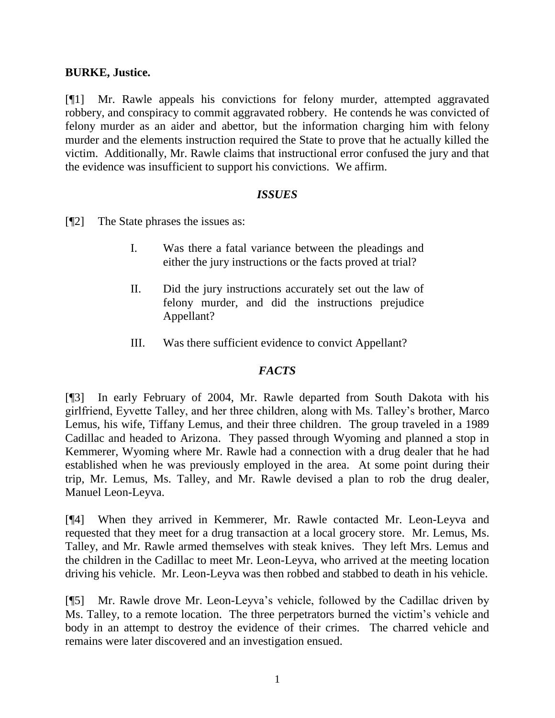## **BURKE, Justice.**

[¶1] Mr. Rawle appeals his convictions for felony murder, attempted aggravated robbery, and conspiracy to commit aggravated robbery. He contends he was convicted of felony murder as an aider and abettor, but the information charging him with felony murder and the elements instruction required the State to prove that he actually killed the victim. Additionally, Mr. Rawle claims that instructional error confused the jury and that the evidence was insufficient to support his convictions. We affirm.

### *ISSUES*

[¶2] The State phrases the issues as:

- I. Was there a fatal variance between the pleadings and either the jury instructions or the facts proved at trial?
- II. Did the jury instructions accurately set out the law of felony murder, and did the instructions prejudice Appellant?
- III. Was there sufficient evidence to convict Appellant?

# *FACTS*

[¶3] In early February of 2004, Mr. Rawle departed from South Dakota with his girlfriend, Eyvette Talley, and her three children, along with Ms. Talley's brother, Marco Lemus, his wife, Tiffany Lemus, and their three children. The group traveled in a 1989 Cadillac and headed to Arizona. They passed through Wyoming and planned a stop in Kemmerer, Wyoming where Mr. Rawle had a connection with a drug dealer that he had established when he was previously employed in the area. At some point during their trip, Mr. Lemus, Ms. Talley, and Mr. Rawle devised a plan to rob the drug dealer, Manuel Leon-Leyva.

[¶4] When they arrived in Kemmerer, Mr. Rawle contacted Mr. Leon-Leyva and requested that they meet for a drug transaction at a local grocery store. Mr. Lemus, Ms. Talley, and Mr. Rawle armed themselves with steak knives. They left Mrs. Lemus and the children in the Cadillac to meet Mr. Leon-Leyva, who arrived at the meeting location driving his vehicle. Mr. Leon-Leyva was then robbed and stabbed to death in his vehicle.

[¶5] Mr. Rawle drove Mr. Leon-Leyva's vehicle, followed by the Cadillac driven by Ms. Talley, to a remote location. The three perpetrators burned the victim's vehicle and body in an attempt to destroy the evidence of their crimes. The charred vehicle and remains were later discovered and an investigation ensued.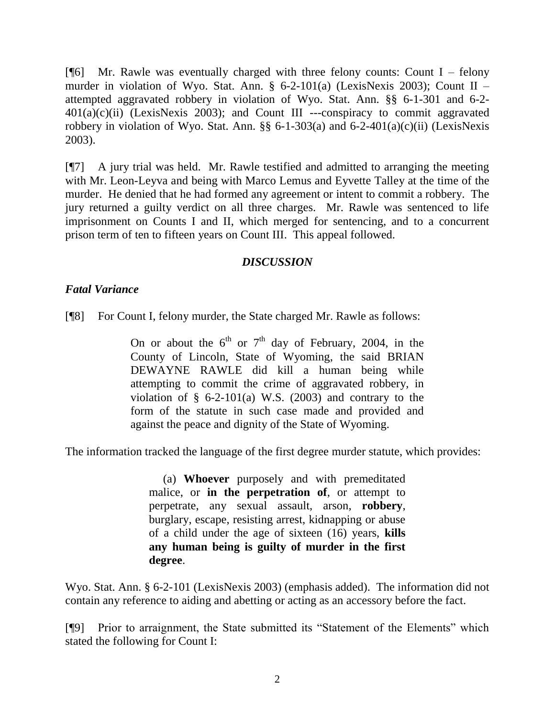[ $[$ ] Mr. Rawle was eventually charged with three felony counts: Count I – felony murder in violation of Wyo. Stat. Ann. § 6-2-101(a) (LexisNexis 2003); Count II – attempted aggravated robbery in violation of Wyo. Stat. Ann. §§ 6-1-301 and 6-2-  $401(a)(c)(ii)$  (LexisNexis 2003); and Count III ---conspiracy to commit aggravated robbery in violation of Wyo. Stat. Ann. §§ 6-1-303(a) and 6-2-401(a)(c)(ii) (LexisNexis 2003).

[¶7] A jury trial was held. Mr. Rawle testified and admitted to arranging the meeting with Mr. Leon-Leyva and being with Marco Lemus and Eyvette Talley at the time of the murder. He denied that he had formed any agreement or intent to commit a robbery. The jury returned a guilty verdict on all three charges. Mr. Rawle was sentenced to life imprisonment on Counts I and II, which merged for sentencing, and to a concurrent prison term of ten to fifteen years on Count III. This appeal followed.

## *DISCUSSION*

## *Fatal Variance*

[¶8] For Count I, felony murder, the State charged Mr. Rawle as follows:

On or about the  $6<sup>th</sup>$  or  $7<sup>th</sup>$  day of February, 2004, in the County of Lincoln, State of Wyoming, the said BRIAN DEWAYNE RAWLE did kill a human being while attempting to commit the crime of aggravated robbery, in violation of  $\S$  6-2-101(a) W.S. (2003) and contrary to the form of the statute in such case made and provided and against the peace and dignity of the State of Wyoming.

The information tracked the language of the first degree murder statute, which provides:

(a) **Whoever** purposely and with premeditated malice, or **in the perpetration of**, or attempt to perpetrate, any sexual assault, arson, **robbery**, burglary, escape, resisting arrest, kidnapping or abuse of a child under the age of sixteen (16) years, **kills any human being is guilty of murder in the first degree**.

Wyo. Stat. Ann. § 6-2-101 (LexisNexis 2003) (emphasis added). The information did not contain any reference to aiding and abetting or acting as an accessory before the fact.

[¶9] Prior to arraignment, the State submitted its "Statement of the Elements" which stated the following for Count I: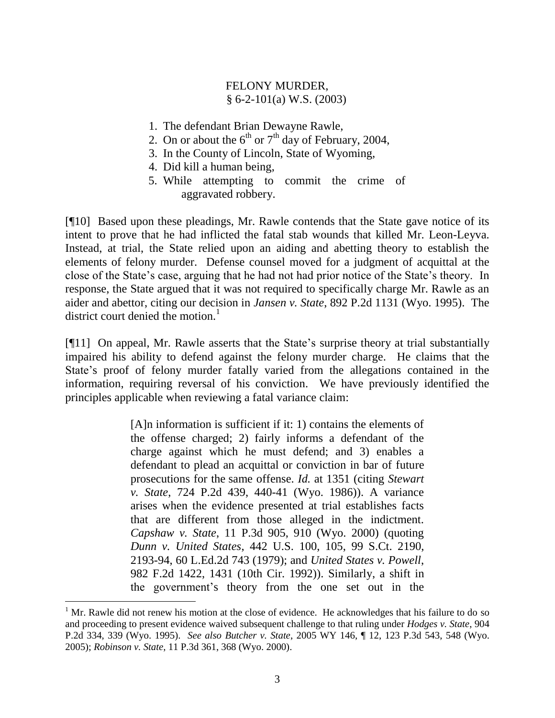# FELONY MURDER, § 6-2-101(a) W.S. (2003)

- 1. The defendant Brian Dewayne Rawle,
- 2. On or about the  $6<sup>th</sup>$  or  $7<sup>th</sup>$  day of February, 2004,
- 3. In the County of Lincoln, State of Wyoming,
- 4. Did kill a human being,
- 5. While attempting to commit the crime of aggravated robbery.

[¶10] Based upon these pleadings, Mr. Rawle contends that the State gave notice of its intent to prove that he had inflicted the fatal stab wounds that killed Mr. Leon-Leyva. Instead, at trial, the State relied upon an aiding and abetting theory to establish the elements of felony murder. Defense counsel moved for a judgment of acquittal at the close of the State's case, arguing that he had not had prior notice of the State's theory. In response, the State argued that it was not required to specifically charge Mr. Rawle as an aider and abettor, citing our decision in *Jansen v. State*, 892 P.2d 1131 (Wyo. 1995). The district court denied the motion. $<sup>1</sup>$ </sup>

[¶11] On appeal, Mr. Rawle asserts that the State's surprise theory at trial substantially impaired his ability to defend against the felony murder charge. He claims that the State's proof of felony murder fatally varied from the allegations contained in the information, requiring reversal of his conviction. We have previously identified the principles applicable when reviewing a fatal variance claim:

> [A]n information is sufficient if it: 1) contains the elements of the offense charged; 2) fairly informs a defendant of the charge against which he must defend; and 3) enables a defendant to plead an acquittal or conviction in bar of future prosecutions for the same offense. *Id.* at 1351 (citing *Stewart v. State*, 724 P.2d 439, 440-41 (Wyo. 1986)). A variance arises when the evidence presented at trial establishes facts that are different from those alleged in the indictment. *Capshaw v. State*, 11 P.3d 905, 910 (Wyo. 2000) (quoting *Dunn v. United States*, 442 U.S. 100, 105, 99 S.Ct. 2190, 2193-94, 60 L.Ed.2d 743 (1979); and *United States v. Powell*, 982 F.2d 1422, 1431 (10th Cir. 1992)). Similarly, a shift in the government's theory from the one set out in the

 $\overline{a}$ 

 $1<sup>1</sup>$  Mr. Rawle did not renew his motion at the close of evidence. He acknowledges that his failure to do so and proceeding to present evidence waived subsequent challenge to that ruling under *Hodges v. State*, 904 P.2d 334, 339 (Wyo. 1995). *See also Butcher v. State*, 2005 WY 146, ¶ 12, 123 P.3d 543, 548 (Wyo. 2005); *Robinson v. State*, 11 P.3d 361, 368 (Wyo. 2000).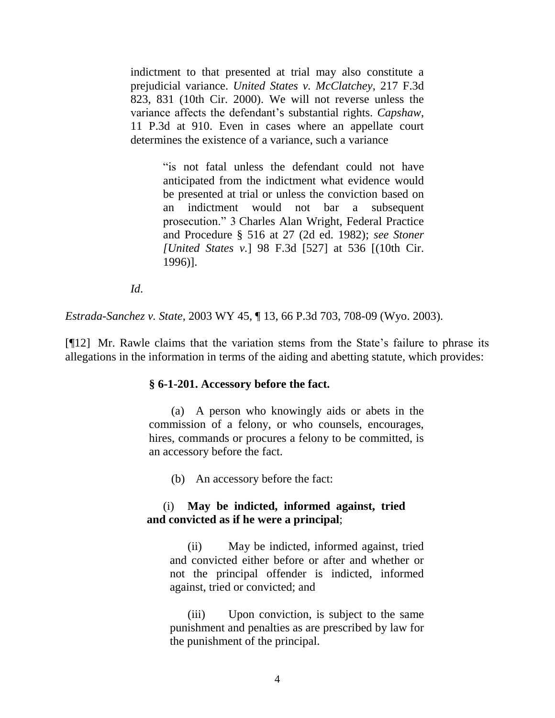indictment to that presented at trial may also constitute a prejudicial variance. *United States v. McClatchey*, 217 F.3d 823, 831 (10th Cir. 2000). We will not reverse unless the variance affects the defendant's substantial rights. *Capshaw*, 11 P.3d at 910. Even in cases where an appellate court determines the existence of a variance, such a variance

> "is not fatal unless the defendant could not have anticipated from the indictment what evidence would be presented at trial or unless the conviction based on an indictment would not bar a subsequent prosecution." 3 Charles Alan Wright, Federal Practice and Procedure § 516 at 27 (2d ed. 1982); *see Stoner [United States v.*] 98 F.3d [527] at 536 [(10th Cir. 1996)].

*Id*.

*Estrada-Sanchez v. State*, 2003 WY 45, ¶ 13, 66 P.3d 703, 708-09 (Wyo. 2003).

[¶12] Mr. Rawle claims that the variation stems from the State's failure to phrase its allegations in the information in terms of the aiding and abetting statute, which provides:

#### **§ 6-1-201. Accessory before the fact.**

(a) A person who knowingly aids or abets in the commission of a felony, or who counsels, encourages, hires, commands or procures a felony to be committed, is an accessory before the fact.

(b) An accessory before the fact:

## (i) **May be indicted, informed against, tried and convicted as if he were a principal**;

(ii) May be indicted, informed against, tried and convicted either before or after and whether or not the principal offender is indicted, informed against, tried or convicted; and

(iii) Upon conviction, is subject to the same punishment and penalties as are prescribed by law for the punishment of the principal.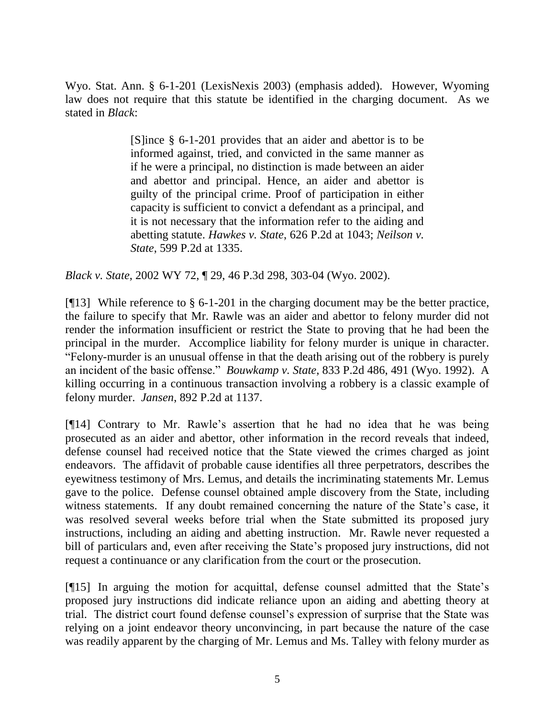Wyo. Stat. Ann. § 6-1-201 (LexisNexis 2003) (emphasis added). However, Wyoming law does not require that this statute be identified in the charging document. As we stated in *Black*:

> [S]ince § 6-1-201 provides that an aider and abettor is to be informed against, tried, and convicted in the same manner as if he were a principal, no distinction is made between an aider and abettor and principal. Hence, an aider and abettor is guilty of the principal crime. Proof of participation in either capacity is sufficient to convict a defendant as a principal, and it is not necessary that the information refer to the aiding and abetting statute. *Hawkes v. State*, 626 P.2d at 1043; *Neilson v. State*, 599 P.2d at 1335.

*Black v. State*, 2002 WY 72, ¶ 29, 46 P.3d 298, 303-04 (Wyo. 2002).

[ $[$ [13] While reference to § 6-1-201 in the charging document may be the better practice, the failure to specify that Mr. Rawle was an aider and abettor to felony murder did not render the information insufficient or restrict the State to proving that he had been the principal in the murder. Accomplice liability for felony murder is unique in character. "Felony-murder is an unusual offense in that the death arising out of the robbery is purely an incident of the basic offense." *Bouwkamp v. State*, 833 P.2d 486, 491 (Wyo. 1992). A killing occurring in a continuous transaction involving a robbery is a classic example of felony murder. *Jansen*, 892 P.2d at 1137.

[¶14] Contrary to Mr. Rawle's assertion that he had no idea that he was being prosecuted as an aider and abettor, other information in the record reveals that indeed, defense counsel had received notice that the State viewed the crimes charged as joint endeavors. The affidavit of probable cause identifies all three perpetrators, describes the eyewitness testimony of Mrs. Lemus, and details the incriminating statements Mr. Lemus gave to the police. Defense counsel obtained ample discovery from the State, including witness statements. If any doubt remained concerning the nature of the State's case, it was resolved several weeks before trial when the State submitted its proposed jury instructions, including an aiding and abetting instruction. Mr. Rawle never requested a bill of particulars and, even after receiving the State's proposed jury instructions, did not request a continuance or any clarification from the court or the prosecution.

[¶15] In arguing the motion for acquittal, defense counsel admitted that the State's proposed jury instructions did indicate reliance upon an aiding and abetting theory at trial. The district court found defense counsel's expression of surprise that the State was relying on a joint endeavor theory unconvincing, in part because the nature of the case was readily apparent by the charging of Mr. Lemus and Ms. Talley with felony murder as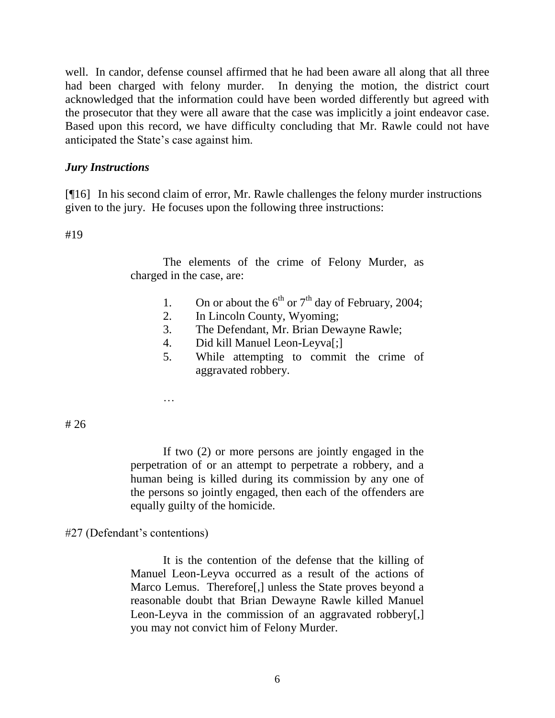well. In candor, defense counsel affirmed that he had been aware all along that all three had been charged with felony murder. In denying the motion, the district court acknowledged that the information could have been worded differently but agreed with the prosecutor that they were all aware that the case was implicitly a joint endeavor case. Based upon this record, we have difficulty concluding that Mr. Rawle could not have anticipated the State's case against him.

### *Jury Instructions*

[¶16] In his second claim of error, Mr. Rawle challenges the felony murder instructions given to the jury. He focuses upon the following three instructions:

#19

The elements of the crime of Felony Murder, as charged in the case, are:

- 1. On or about the  $6<sup>th</sup>$  or  $7<sup>th</sup>$  day of February, 2004;
- 2. In Lincoln County, Wyoming;
- 3. The Defendant, Mr. Brian Dewayne Rawle;
- 4. Did kill Manuel Leon-Leyva[;]
- 5. While attempting to commit the crime of aggravated robbery.

# 26

If two (2) or more persons are jointly engaged in the perpetration of or an attempt to perpetrate a robbery, and a human being is killed during its commission by any one of the persons so jointly engaged, then each of the offenders are equally guilty of the homicide.

#27 (Defendant's contentions)

…

It is the contention of the defense that the killing of Manuel Leon-Leyva occurred as a result of the actions of Marco Lemus. Therefore[,] unless the State proves beyond a reasonable doubt that Brian Dewayne Rawle killed Manuel Leon-Leyva in the commission of an aggravated robbery[,] you may not convict him of Felony Murder.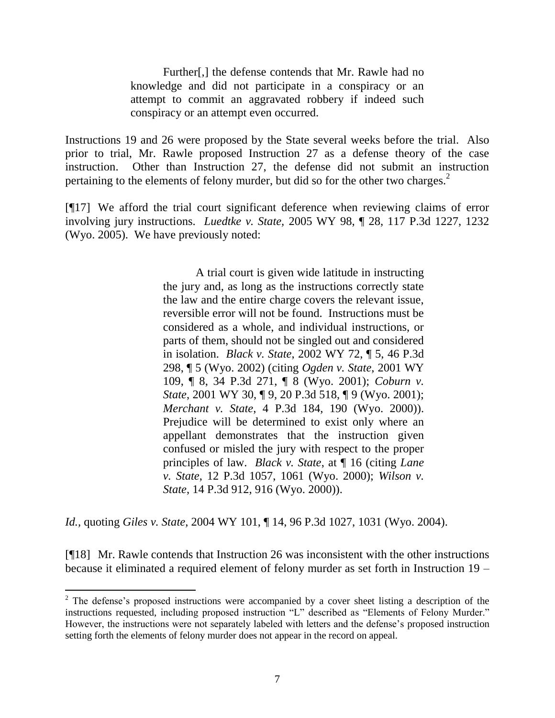Further[,] the defense contends that Mr. Rawle had no knowledge and did not participate in a conspiracy or an attempt to commit an aggravated robbery if indeed such conspiracy or an attempt even occurred.

Instructions 19 and 26 were proposed by the State several weeks before the trial. Also prior to trial, Mr. Rawle proposed Instruction 27 as a defense theory of the case instruction. Other than Instruction 27, the defense did not submit an instruction pertaining to the elements of felony murder, but did so for the other two charges.<sup>2</sup>

[¶17] We afford the trial court significant deference when reviewing claims of error involving jury instructions. *Luedtke v. State,* 2005 WY 98, ¶ 28, 117 P.3d 1227, 1232 (Wyo. 2005).We have previously noted:

> A trial court is given wide latitude in instructing the jury and, as long as the instructions correctly state the law and the entire charge covers the relevant issue, reversible error will not be found. Instructions must be considered as a whole, and individual instructions, or parts of them, should not be singled out and considered in isolation. *Black v. State*, 2002 WY 72, ¶ 5, 46 P.3d 298, ¶ 5 (Wyo. 2002) (citing *Ogden v. State*, 2001 WY 109, ¶ 8, 34 P.3d 271, ¶ 8 (Wyo. 2001); *Coburn v. State*, 2001 WY 30, ¶ 9, 20 P.3d 518, ¶ 9 (Wyo. 2001); *Merchant v. State*, 4 P.3d 184, 190 (Wyo. 2000)). Prejudice will be determined to exist only where an appellant demonstrates that the instruction given confused or misled the jury with respect to the proper principles of law. *Black v. State*, at ¶ 16 (citing *Lane v. State*, 12 P.3d 1057, 1061 (Wyo. 2000); *Wilson v. State*, 14 P.3d 912, 916 (Wyo. 2000)).

*Id.,* quoting *Giles v. State*, 2004 WY 101, ¶ 14, 96 P.3d 1027, 1031 (Wyo. 2004).

 $\overline{a}$ 

[¶18] Mr. Rawle contends that Instruction 26 was inconsistent with the other instructions because it eliminated a required element of felony murder as set forth in Instruction 19 –

 $2^2$  The defense's proposed instructions were accompanied by a cover sheet listing a description of the instructions requested, including proposed instruction "L" described as "Elements of Felony Murder." However, the instructions were not separately labeled with letters and the defense's proposed instruction setting forth the elements of felony murder does not appear in the record on appeal.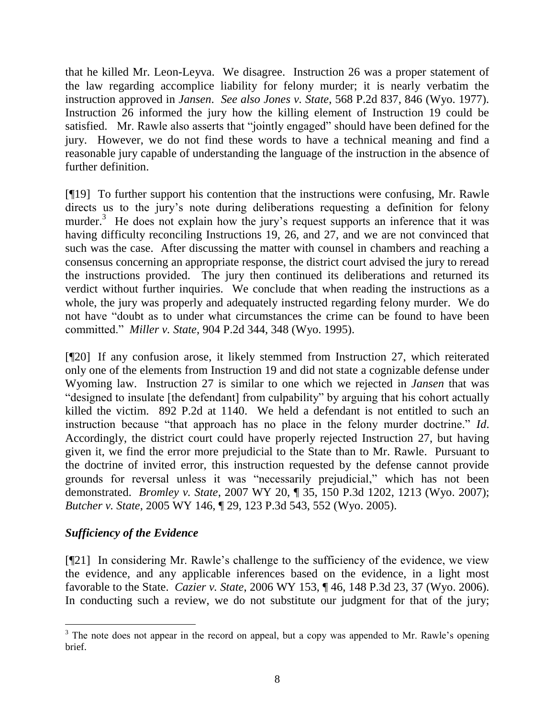that he killed Mr. Leon-Leyva. We disagree. Instruction 26 was a proper statement of the law regarding accomplice liability for felony murder; it is nearly verbatim the instruction approved in *Jansen*. *See also Jones v. State*, 568 P.2d 837, 846 (Wyo. 1977). Instruction 26 informed the jury how the killing element of Instruction 19 could be satisfied. Mr. Rawle also asserts that "jointly engaged" should have been defined for the jury. However, we do not find these words to have a technical meaning and find a reasonable jury capable of understanding the language of the instruction in the absence of further definition.

[¶19] To further support his contention that the instructions were confusing, Mr. Rawle directs us to the jury's note during deliberations requesting a definition for felony murder.<sup>3</sup> He does not explain how the jury's request supports an inference that it was having difficulty reconciling Instructions 19, 26, and 27, and we are not convinced that such was the case. After discussing the matter with counsel in chambers and reaching a consensus concerning an appropriate response, the district court advised the jury to reread the instructions provided. The jury then continued its deliberations and returned its verdict without further inquiries. We conclude that when reading the instructions as a whole, the jury was properly and adequately instructed regarding felony murder. We do not have "doubt as to under what circumstances the crime can be found to have been committed." *Miller v. State*, 904 P.2d 344, 348 (Wyo. 1995).

[¶20] If any confusion arose, it likely stemmed from Instruction 27, which reiterated only one of the elements from Instruction 19 and did not state a cognizable defense under Wyoming law. Instruction 27 is similar to one which we rejected in *Jansen* that was "designed to insulate [the defendant] from culpability" by arguing that his cohort actually killed the victim. 892 P.2d at 1140. We held a defendant is not entitled to such an instruction because "that approach has no place in the felony murder doctrine." *Id*. Accordingly, the district court could have properly rejected Instruction 27, but having given it, we find the error more prejudicial to the State than to Mr. Rawle. Pursuant to the doctrine of invited error, this instruction requested by the defense cannot provide grounds for reversal unless it was "necessarily prejudicial," which has not been demonstrated. *Bromley v. State*, 2007 WY 20, ¶ 35, 150 P.3d 1202, 1213 (Wyo. 2007); *Butcher v. State*, 2005 WY 146, ¶ 29, 123 P.3d 543, 552 (Wyo. 2005).

# *Sufficiency of the Evidence*

 $\overline{a}$ 

[¶21] In considering Mr. Rawle's challenge to the sufficiency of the evidence, we view the evidence, and any applicable inferences based on the evidence, in a light most favorable to the State. *Cazier v. State*, 2006 WY 153, ¶ 46, 148 P.3d 23, 37 (Wyo. 2006). In conducting such a review, we do not substitute our judgment for that of the jury;

 $3$  The note does not appear in the record on appeal, but a copy was appended to Mr. Rawle's opening brief.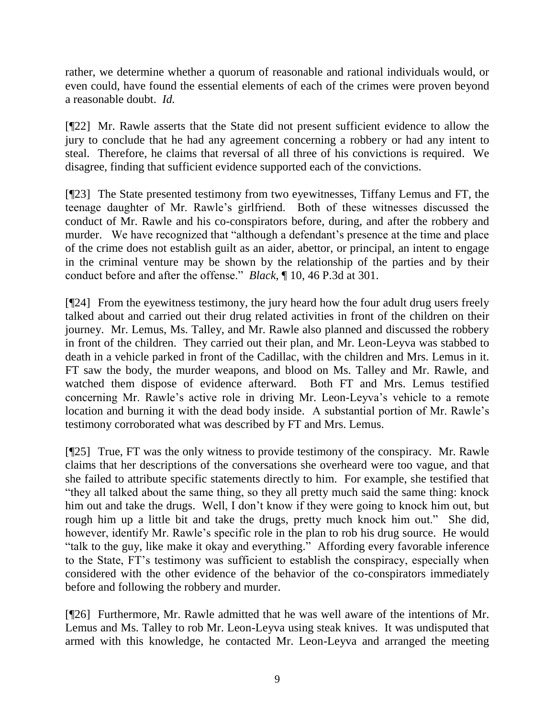rather, we determine whether a quorum of reasonable and rational individuals would, or even could, have found the essential elements of each of the crimes were proven beyond a reasonable doubt. *Id.*

[¶22] Mr. Rawle asserts that the State did not present sufficient evidence to allow the jury to conclude that he had any agreement concerning a robbery or had any intent to steal. Therefore, he claims that reversal of all three of his convictions is required. We disagree, finding that sufficient evidence supported each of the convictions.

[¶23] The State presented testimony from two eyewitnesses, Tiffany Lemus and FT, the teenage daughter of Mr. Rawle's girlfriend. Both of these witnesses discussed the conduct of Mr. Rawle and his co-conspirators before, during, and after the robbery and murder. We have recognized that "although a defendant's presence at the time and place of the crime does not establish guilt as an aider, abettor, or principal, an intent to engage in the criminal venture may be shown by the relationship of the parties and by their conduct before and after the offense." *Black*, ¶ 10, 46 P.3d at 301.

[¶24] From the eyewitness testimony, the jury heard how the four adult drug users freely talked about and carried out their drug related activities in front of the children on their journey. Mr. Lemus, Ms. Talley, and Mr. Rawle also planned and discussed the robbery in front of the children. They carried out their plan, and Mr. Leon-Leyva was stabbed to death in a vehicle parked in front of the Cadillac, with the children and Mrs. Lemus in it. FT saw the body, the murder weapons, and blood on Ms. Talley and Mr. Rawle, and watched them dispose of evidence afterward. Both FT and Mrs. Lemus testified concerning Mr. Rawle's active role in driving Mr. Leon-Leyva's vehicle to a remote location and burning it with the dead body inside. A substantial portion of Mr. Rawle's testimony corroborated what was described by FT and Mrs. Lemus.

[¶25] True, FT was the only witness to provide testimony of the conspiracy. Mr. Rawle claims that her descriptions of the conversations she overheard were too vague, and that she failed to attribute specific statements directly to him. For example, she testified that "they all talked about the same thing, so they all pretty much said the same thing: knock him out and take the drugs. Well, I don't know if they were going to knock him out, but rough him up a little bit and take the drugs, pretty much knock him out." She did, however, identify Mr. Rawle's specific role in the plan to rob his drug source. He would "talk to the guy, like make it okay and everything." Affording every favorable inference to the State, FT's testimony was sufficient to establish the conspiracy, especially when considered with the other evidence of the behavior of the co-conspirators immediately before and following the robbery and murder.

[¶26] Furthermore, Mr. Rawle admitted that he was well aware of the intentions of Mr. Lemus and Ms. Talley to rob Mr. Leon-Leyva using steak knives. It was undisputed that armed with this knowledge, he contacted Mr. Leon-Leyva and arranged the meeting